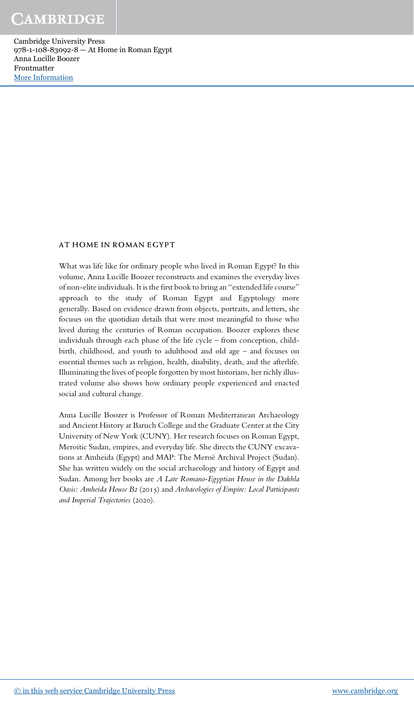#### AT HOME IN ROMAN EGYPT

What was life like for ordinary people who lived in Roman Egypt? In this volume, Anna Lucille Boozer reconstructs and examines the everyday lives of non-elite individuals. It is the first book to bring an "extended life course" approach to the study of Roman Egypt and Egyptology more generally. Based on evidence drawn from objects, portraits, and letters, she focuses on the quotidian details that were most meaningful to those who lived during the centuries of Roman occupation. Boozer explores these individuals through each phase of the life cycle – from conception, childbirth, childhood, and youth to adulthood and old age – and focuses on essential themes such as religion, health, disability, death, and the afterlife. Illuminating the lives of people forgotten by most historians, her richly illustrated volume also shows how ordinary people experienced and enacted social and cultural change.

Anna Lucille Boozer is Professor of Roman Mediterranean Archaeology and Ancient History at Baruch College and the Graduate Center at the City University of New York (CUNY). Her research focuses on Roman Egypt, Meroitic Sudan, empires, and everyday life. She directs the CUNY excavations at Amheida (Egypt) and MAP: The Meroë Archival Project (Sudan). She has written widely on the social archaeology and history of Egypt and Sudan. Among her books are *A Late Romano-Egyptian House in the Dakhla Oasis: Amheida House B*2 (2015) and *Archaeologies of Empire: Local Participants and Imperial Trajectories* (2020).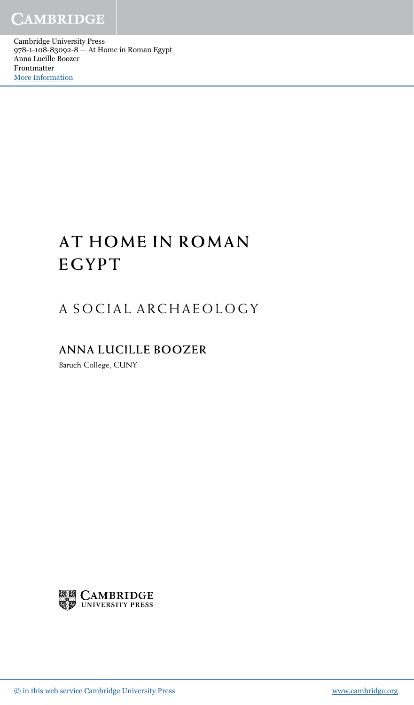CAMBRIDGE

Cambridge University Press 978-1-108-83092-8 — At Home in Roman Egypt Anna Lucille Boozer Frontmatter [More Information](www.cambridge.org/9781108830928)

# AT HOME IN ROMAN EGYPT

## A SOCIAL ARCHAEOLOGY

## ANNA LUCILLE BOOZER

Baruch College, CUNY

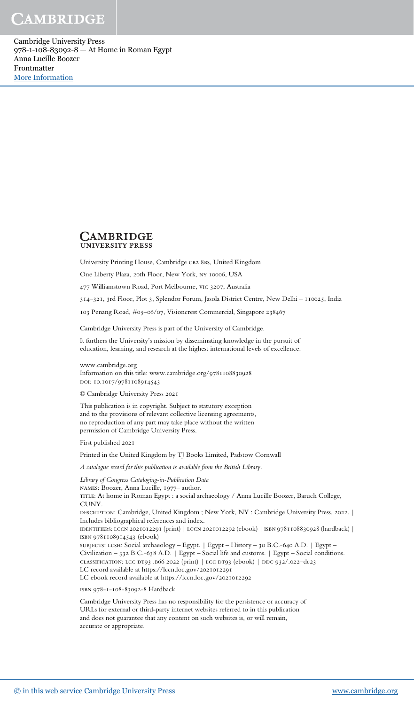#### **CAMBRIDGE UNIVERSITY PRESS**

University Printing House, Cambridge CB2 8BS, United Kingdom

One Liberty Plaza, 20th Floor, New York, ny 10006, USA

477 Williamstown Road, Port Melbourne, vic 3207, Australia

314–321, 3rd Floor, Plot 3, Splendor Forum, Jasola District Centre, New Delhi – 110025, India

103 Penang Road, #05–06/07, Visioncrest Commercial, Singapore 238467

Cambridge University Press is part of the University of Cambridge.

It furthers the University's mission by disseminating knowledge in the pursuit of education, learning, and research at the highest international levels of excellence.

www.cambridge.org Information on this title: www.cambridge.org/9781108830928 doi: 10.1017/9781108914543

© Cambridge University Press 2021

This publication is in copyright. Subject to statutory exception and to the provisions of relevant collective licensing agreements, no reproduction of any part may take place without the written permission of Cambridge University Press.

First published 2021

Printed in the United Kingdom by TJ Books Limited, Padstow Cornwall

A catalogue record for this publication is available from the British Library.

*Library of Congress Cataloging-in-Publication Data* names: Boozer, Anna Lucille, 1977– author. TITLE: At home in Roman Egypt : a social archaeology / Anna Lucille Boozer, Baruch College, CUNY. DESCRIPTION: Cambridge, United Kingdom ; New York, NY : Cambridge University Press, 2022. | Includes bibliographical references and index. identifiers: lccn 2021012291 (print) | lccn 2021012292 (ebook) | isbn 9781108830928 (hardback) | isbn 9781108914543 (ebook) subjects: lcsh: Social archaeology – Egypt. | Egypt – History – 30 B.C.-640 A.D. | Egypt – Civilization – 332 B.C.-638 A.D. | Egypt – Social life and customs. | Egypt – Social conditions. classification: lcc dt93 .b66 2022 (print) | lcc dt93 (ebook) | ddc 932/.022–dc23 LC record available at https://lccn.loc.gov/2021012291 LC ebook record available at https://lccn.loc.gov/2021012292 isbn 978-1-108-83092-8 Hardback

Cambridge University Press has no responsibility for the persistence or accuracy of URLs for external or third-party internet websites referred to in this publication and does not guarantee that any content on such websites is, or will remain, accurate or appropriate.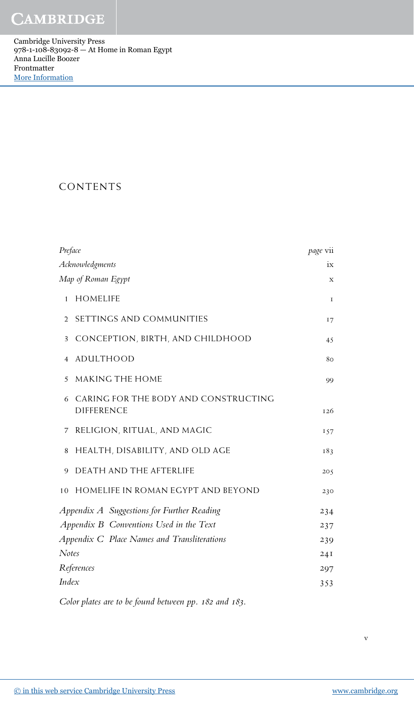CAMBRIDGE

Cambridge University Press 978-1-108-83092-8 — At Home in Roman Egypt Anna Lucille Boozer Frontmatter [More Information](www.cambridge.org/9781108830928)

### CONTENTS

| Preface                                                        | page vii  |
|----------------------------------------------------------------|-----------|
| Acknowledgments                                                | ix        |
| Map of Roman Egypt                                             | X         |
| <b>HOMELIFE</b><br>$\mathbf{1}$                                | 1         |
| SETTINGS AND COMMUNITIES<br>2                                  | <b>17</b> |
| CONCEPTION, BIRTH, AND CHILDHOOD<br>3                          | 45        |
| <b>ADULTHOOD</b><br>4                                          | 80        |
| MAKING THE HOME<br>5                                           | 99        |
| CARING FOR THE BODY AND CONSTRUCTING<br>6<br><b>DIFFERENCE</b> | 126       |
| RELIGION, RITUAL, AND MAGIC<br>7                               | 157       |
| HEALTH, DISABILITY, AND OLD AGE<br>8                           | 183       |
| DEATH AND THE AFTERLIFE<br>9                                   | 205       |
| 10 HOMELIFE IN ROMAN EGYPT AND BEYOND                          | 230       |
| Appendix A Suggestions for Further Reading                     | 234       |
| Appendix B Conventions Used in the Text                        | 237       |
| Appendix C Place Names and Transliterations                    | 239       |
| <b>Notes</b>                                                   | 24I       |
| References                                                     | 297       |
| Index                                                          | 353       |
|                                                                |           |

*Color plates are to be found between pp.* 182 *and* 183*.*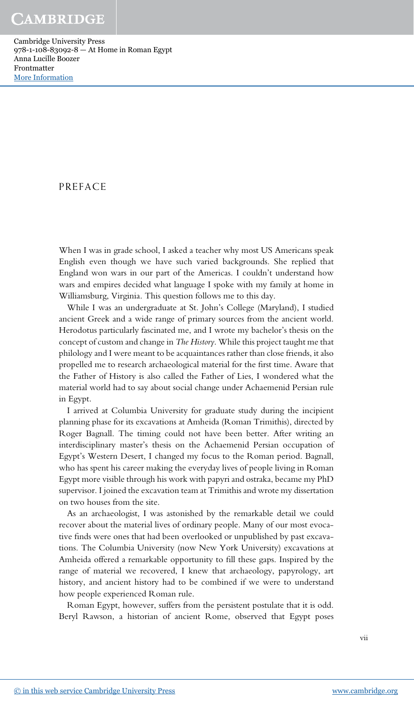### PREFACE

When I was in grade school, I asked a teacher why most US Americans speak English even though we have such varied backgrounds. She replied that England won wars in our part of the Americas. I couldn't understand how wars and empires decided what language I spoke with my family at home in Williamsburg, Virginia. This question follows me to this day.

While I was an undergraduate at St. John's College (Maryland), I studied ancient Greek and a wide range of primary sources from the ancient world. Herodotus particularly fascinated me, and I wrote my bachelor's thesis on the concept of custom and change in *The History*. While this project taught me that philology and I were meant to be acquaintances rather than close friends, it also propelled me to research archaeological material for the first time. Aware that the Father of History is also called the Father of Lies, I wondered what the material world had to say about social change under Achaemenid Persian rule in Egypt.

I arrived at Columbia University for graduate study during the incipient planning phase for its excavations at Amheida (Roman Trimithis), directed by Roger Bagnall. The timing could not have been better. After writing an interdisciplinary master's thesis on the Achaemenid Persian occupation of Egypt's Western Desert, I changed my focus to the Roman period. Bagnall, who has spent his career making the everyday lives of people living in Roman Egypt more visible through his work with papyri and ostraka, became my PhD supervisor. I joined the excavation team at Trimithis and wrote my dissertation on two houses from the site.

As an archaeologist, I was astonished by the remarkable detail we could recover about the material lives of ordinary people. Many of our most evocative finds were ones that had been overlooked or unpublished by past excavations. The Columbia University (now New York University) excavations at Amheida offered a remarkable opportunity to fill these gaps. Inspired by the range of material we recovered, I knew that archaeology, papyrology, art history, and ancient history had to be combined if we were to understand how people experienced Roman rule.

Roman Egypt, however, suffers from the persistent postulate that it is odd. Beryl Rawson, a historian of ancient Rome, observed that Egypt poses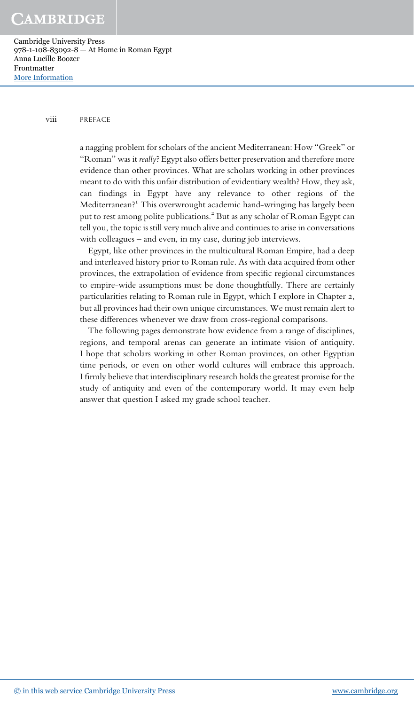#### viii PREFACE

a nagging problem for scholars of the ancient Mediterranean: How "Greek" or "Roman" was it *really*? Egypt also offers better preservation and therefore more evidence than other provinces. What are scholars working in other provinces meant to do with this unfair distribution of evidentiary wealth? How, they ask, can findings in Egypt have any relevance to other regions of the Mediterranean?<sup>1</sup> This overwrought academic hand-wringing has largely been put to rest among polite publications.<sup>2</sup> But as any scholar of Roman Egypt can tell you, the topic is still very much alive and continues to arise in conversations with colleagues – and even, in my case, during job interviews.

Egypt, like other provinces in the multicultural Roman Empire, had a deep and interleaved history prior to Roman rule. As with data acquired from other provinces, the extrapolation of evidence from specific regional circumstances to empire-wide assumptions must be done thoughtfully. There are certainly particularities relating to Roman rule in Egypt, which I explore in Chapter 2, but all provinces had their own unique circumstances. We must remain alert to these differences whenever we draw from cross-regional comparisons.

The following pages demonstrate how evidence from a range of disciplines, regions, and temporal arenas can generate an intimate vision of antiquity. I hope that scholars working in other Roman provinces, on other Egyptian time periods, or even on other world cultures will embrace this approach. I firmly believe that interdisciplinary research holds the greatest promise for the study of antiquity and even of the contemporary world. It may even help answer that question I asked my grade school teacher.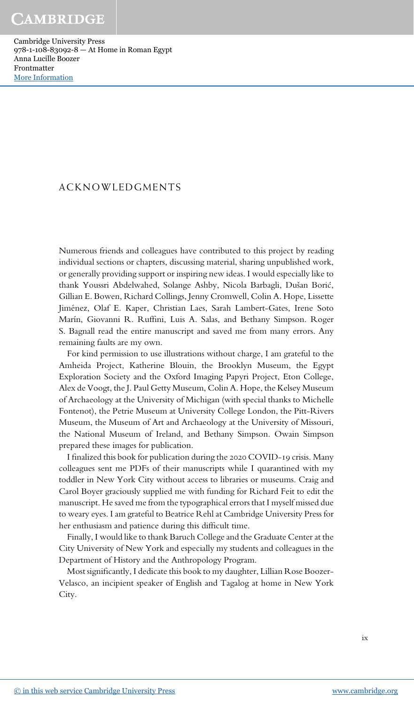#### ACKNOWLEDGMENTS

Numerous friends and colleagues have contributed to this project by reading individual sections or chapters, discussing material, sharing unpublished work, or generally providing support or inspiring new ideas. I would especially like to thank Youssri Abdelwahed, Solange Ashby, Nicola Barbagli, Dušan Borić , Gillian E. Bowen, Richard Collings, Jenny Cromwell, Colin A. Hope, Lissette Jiménez, Olaf E. Kaper, Christian Laes, Sarah Lambert-Gates, Irene Soto Marín, Giovanni R. Ruffini, Luis A. Salas, and Bethany Simpson. Roger S. Bagnall read the entire manuscript and saved me from many errors. Any remaining faults are my own.

For kind permission to use illustrations without charge, I am grateful to the Amheida Project, Katherine Blouin, the Brooklyn Museum, the Egypt Exploration Society and the Oxford Imaging Papyri Project, Eton College, Alex de Voogt, the J. Paul Getty Museum, Colin A. Hope, the Kelsey Museum of Archaeology at the University of Michigan (with special thanks to Michelle Fontenot), the Petrie Museum at University College London, the Pitt-Rivers Museum, the Museum of Art and Archaeology at the University of Missouri, the National Museum of Ireland, and Bethany Simpson. Owain Simpson prepared these images for publication.

I finalized this book for publication during the 2020 COVID-19 crisis. Many colleagues sent me PDFs of their manuscripts while I quarantined with my toddler in New York City without access to libraries or museums. Craig and Carol Boyer graciously supplied me with funding for Richard Feit to edit the manuscript. He saved me from the typographical errors that I myself missed due to weary eyes. I am grateful to Beatrice Rehl at Cambridge University Press for her enthusiasm and patience during this difficult time.

Finally, I would like to thank Baruch College and the Graduate Center at the City University of New York and especially my students and colleagues in the Department of History and the Anthropology Program.

Most significantly, I dedicate this book to my daughter, Lillian Rose Boozer-Velasco, an incipient speaker of English and Tagalog at home in New York City.